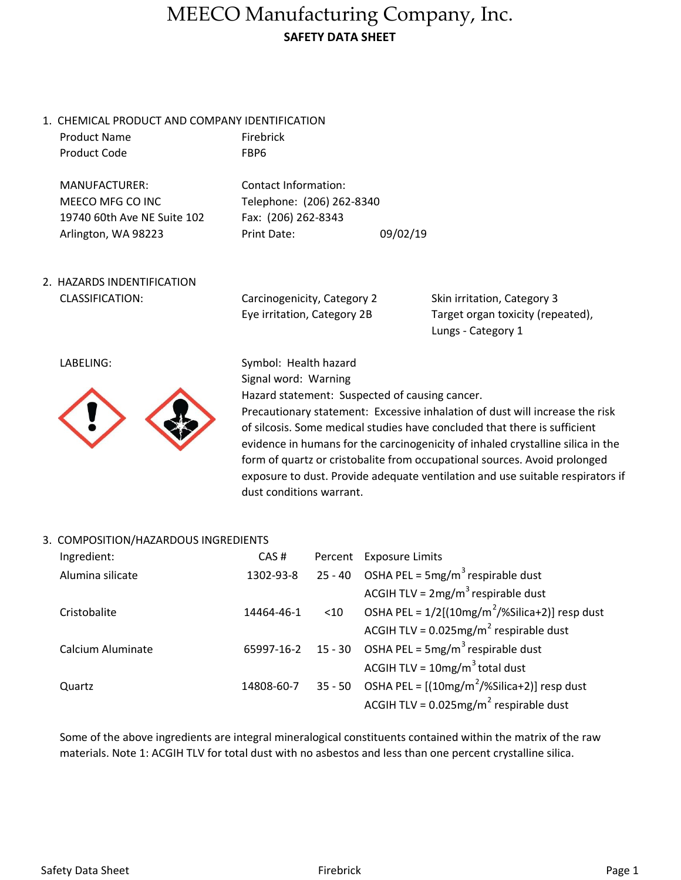### MEECO Manufacturing Company, Inc. SAFETY DATA SHEET

1. CHEMICAL PRODUCT AND COMPANY IDENTIFICATION Product Name Firebrick

FBP6

Product Code

MANUFACTURER: Contact Information: MEECO MFG CO INC Telephone: (206) 262-8340 19740 60th Ave NE Suite 102 Fax: (206) 262-8343

Arlington, WA 98223 Print Date: 09/02/19

2. HAZARDS INDENTIFICATION CLASSIFICATION:

Carcinogenicity, Category 2 Eye irritation, Category 2B

Lungs - Category 1 Skin irritation, Category 3 Target organ toxicity (repeated),

LABELING:



Symbol: Health hazard Signal word: Warning Hazard statement: Suspected of causing cancer. Precautionary statement: Excessive inhalation of dust will increase the risk of silcosis. Some medical studies have concluded that there is sufficient evidence in humans for the carcinogenicity of inhaled crystalline silica in the form of quartz or cristobalite from occupational sources. Avoid prolonged exposure to dust. Provide adequate ventilation and use suitable respirators if dust conditions warrant.

#### 3. COMPOSITION/HAZARDOUS INGREDIENTS

| Ingredient:       | CAS#       |        | Percent Exposure Limits                                       |
|-------------------|------------|--------|---------------------------------------------------------------|
| Alumina silicate  | 1302-93-8  |        | 25 - 40 OSHA PEL = $5mg/m^3$ respirable dust                  |
|                   |            |        | ACGIH TLV = $2mg/m^3$ respirable dust                         |
| Cristobalite      | 14464-46-1 | $<$ 10 | OSHA PEL = $1/2$ [(10mg/m <sup>2</sup> /%Silica+2)] resp dust |
|                   |            |        | ACGIH TLV = $0.025$ mg/m <sup>2</sup> respirable dust         |
| Calcium Aluminate |            |        | 65997-16-2 15 - 30 OSHA PEL = $5mg/m^3$ respirable dust       |
|                   |            |        | ACGIH TLV = $10mg/m^3$ total dust                             |
| Quartz            | 14808-60-7 |        | 35 - 50 OSHA PEL = $[(10mg/m^2)/8]$ Silica+2)] resp dust      |
|                   |            |        | ACGIH TLV = $0.025$ mg/m <sup>2</sup> respirable dust         |

Some of the above ingredients are integral mineralogical constituents contained within the matrix of the raw materials. Note 1: ACGIH TLV for total dust with no asbestos and less than one percent crystalline silica.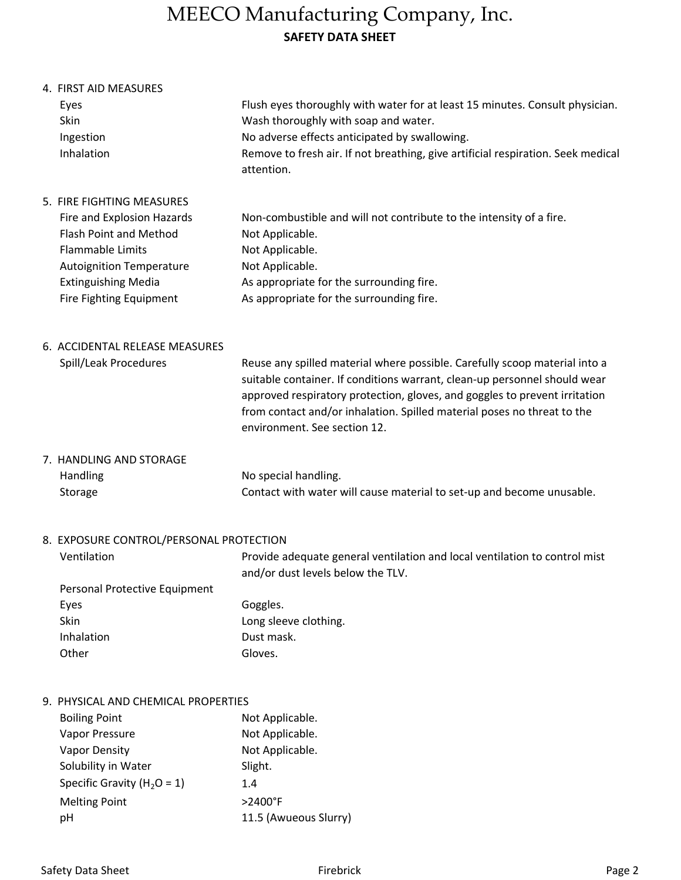# MEECO Manufacturing Company, Inc. SAFETY DATA SHEET

| 4. FIRST AID MEASURES                   |                                                                                                                                                                                                                                                                                                                                                  |
|-----------------------------------------|--------------------------------------------------------------------------------------------------------------------------------------------------------------------------------------------------------------------------------------------------------------------------------------------------------------------------------------------------|
| Eyes                                    | Flush eyes thoroughly with water for at least 15 minutes. Consult physician.                                                                                                                                                                                                                                                                     |
| Skin                                    | Wash thoroughly with soap and water.                                                                                                                                                                                                                                                                                                             |
| Ingestion                               | No adverse effects anticipated by swallowing.                                                                                                                                                                                                                                                                                                    |
| Inhalation                              | Remove to fresh air. If not breathing, give artificial respiration. Seek medical<br>attention.                                                                                                                                                                                                                                                   |
| 5. FIRE FIGHTING MEASURES               |                                                                                                                                                                                                                                                                                                                                                  |
| Fire and Explosion Hazards              | Non-combustible and will not contribute to the intensity of a fire.                                                                                                                                                                                                                                                                              |
| <b>Flash Point and Method</b>           | Not Applicable.                                                                                                                                                                                                                                                                                                                                  |
| <b>Flammable Limits</b>                 | Not Applicable.                                                                                                                                                                                                                                                                                                                                  |
| <b>Autoignition Temperature</b>         | Not Applicable.                                                                                                                                                                                                                                                                                                                                  |
| <b>Extinguishing Media</b>              | As appropriate for the surrounding fire.                                                                                                                                                                                                                                                                                                         |
| Fire Fighting Equipment                 | As appropriate for the surrounding fire.                                                                                                                                                                                                                                                                                                         |
| 6. ACCIDENTAL RELEASE MEASURES          |                                                                                                                                                                                                                                                                                                                                                  |
| Spill/Leak Procedures                   | Reuse any spilled material where possible. Carefully scoop material into a<br>suitable container. If conditions warrant, clean-up personnel should wear<br>approved respiratory protection, gloves, and goggles to prevent irritation<br>from contact and/or inhalation. Spilled material poses no threat to the<br>environment. See section 12. |
| 7. HANDLING AND STORAGE                 |                                                                                                                                                                                                                                                                                                                                                  |
| Handling                                | No special handling.                                                                                                                                                                                                                                                                                                                             |
| Storage                                 | Contact with water will cause material to set-up and become unusable.                                                                                                                                                                                                                                                                            |
| EVBOCURE CONTROL (BERCONIAL BROTECTION) |                                                                                                                                                                                                                                                                                                                                                  |

#### 8. EXPOSURE CONTROL/PERSONAL PROTECTION

| Ventilation                   | Provide adequate general ventilation and local ventilation to control mist<br>and/or dust levels below the TLV. |
|-------------------------------|-----------------------------------------------------------------------------------------------------------------|
| Personal Protective Equipment |                                                                                                                 |
| Eves                          | Goggles.                                                                                                        |
| Skin                          | l ong sleeve clothing.                                                                                          |

| LVCJ       | <b>UURRIES.</b>       |
|------------|-----------------------|
| Skin       | Long sleeve clothing. |
| Inhalation | Dust mask.            |
| Other      | Gloves.               |
|            |                       |

### 9. PHYSICAL AND CHEMICAL PROPERTIES

| <b>Boiling Point</b>            | Not Applicable.       |
|---------------------------------|-----------------------|
| Vapor Pressure                  | Not Applicable.       |
| <b>Vapor Density</b>            | Not Applicable.       |
| Solubility in Water             | Slight.               |
| Specific Gravity ( $H_2O = 1$ ) | 1.4                   |
| <b>Melting Point</b>            | $>2400$ °F            |
| рH                              | 11.5 (Awueous Slurry) |
|                                 |                       |